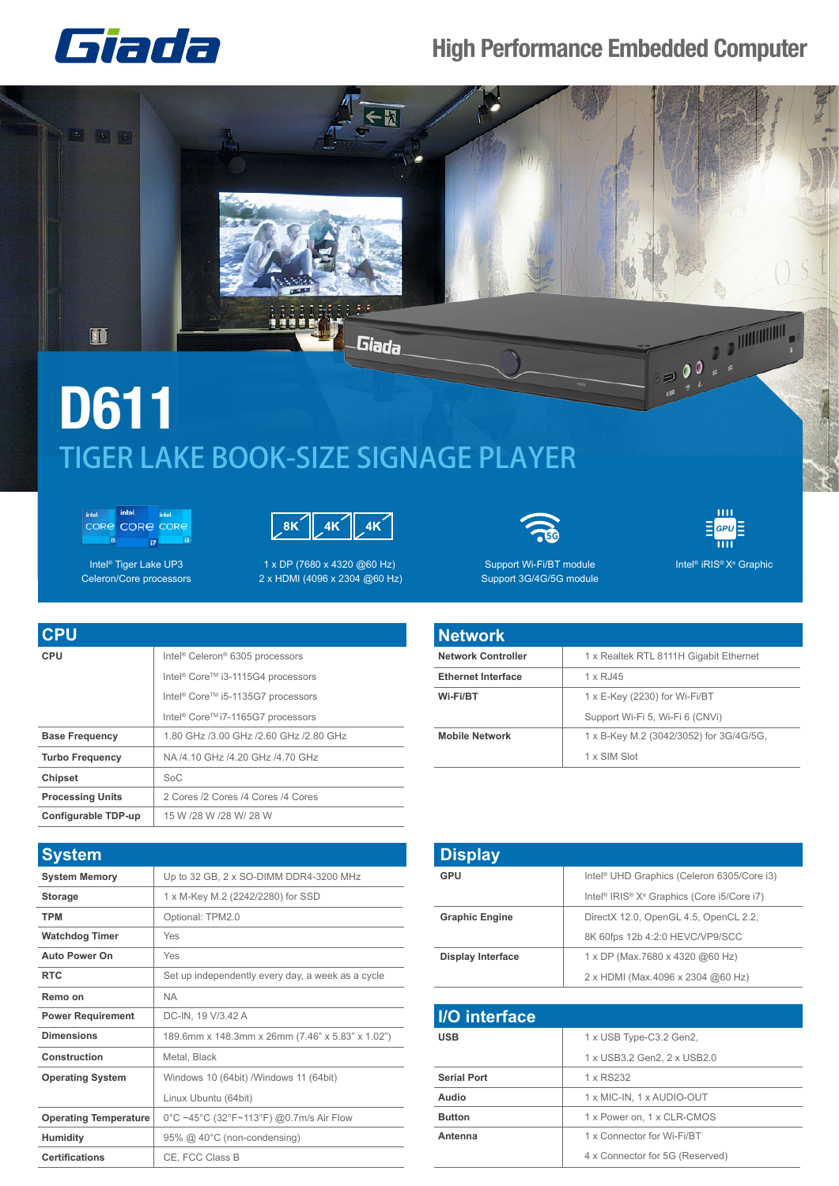

## **High Performance Embedded Computer**



## **D611** TIGER LAKE BOOK-SIZE SIGNAGE PLAYER

intel intel **CORE CORE CORE**  $\overline{15}$  $\overline{u}$ 

Intel<sup>®</sup> Tiger Lake UP3

Celeron/Core processors



1 x DP (7680 x 4320 @60 Hz) 2 x HDMI (4096 x 2304 @60 Hz)



Support Wi-Fi/BT module Support 3G/4G/5G module



Intel<sup>®</sup> iRIS<sup>®</sup> X<sup>e</sup> Graphic

| <b>CPU</b>              |                                                           |
|-------------------------|-----------------------------------------------------------|
| <b>CPU</b>              | Intel <sup>®</sup> Celeron <sup>®</sup> 6305 processors   |
|                         | Intel <sup>®</sup> Core <sup>™</sup> i3-1115G4 processors |
|                         | Intel <sup>®</sup> Core <sup>™</sup> i5-1135G7 processors |
|                         | Intel <sup>®</sup> Core <sup>™</sup> i7-1165G7 processors |
| <b>Base Frequency</b>   | 1.80 GHz /3.00 GHz /2.60 GHz /2.80 GHz                    |
| <b>Turbo Frequency</b>  | NA /4.10 GHz /4.20 GHz /4.70 GHz                          |
| <b>Chipset</b>          | SoC                                                       |
| <b>Processing Units</b> | 2 Cores /2 Cores /4 Cores /4 Cores                        |
| Configurable TDP-up     | 15 W /28 W /28 W/ 28 W                                    |

| <b>System</b>                |                                                   |
|------------------------------|---------------------------------------------------|
| <b>System Memory</b>         | Up to 32 GB, 2 x SO-DIMM DDR4-3200 MHz            |
| <b>Storage</b>               | 1 x M-Key M.2 (2242/2280) for SSD                 |
| <b>TPM</b>                   | Optional: TPM2.0                                  |
| <b>Watchdog Timer</b>        | Yes                                               |
| <b>Auto Power On</b>         | Yes                                               |
| <b>RTC</b>                   | Set up independently every day, a week as a cycle |
| Remo on                      | <b>NA</b>                                         |
| <b>Power Requirement</b>     | DC-IN, 19 V/3.42 A                                |
| <b>Dimensions</b>            | 189.6mm x 148.3mm x 26mm (7.46" x 5.83" x 1.02")  |
| Construction                 | Metal, Black                                      |
| <b>Operating System</b>      | Windows 10 (64bit) / Windows 11 (64bit)           |
|                              | Linux Ubuntu (64bit)                              |
| <b>Operating Temperature</b> | 0°C ~45°C (32°F~113°F) @0.7m/s Air Flow           |
| <b>Humidity</b>              | 95% @ 40°C (non-condensing)                       |
| <b>Certifications</b>        | CE, FCC Class B                                   |

| <b>Network</b>            |                                         |
|---------------------------|-----------------------------------------|
| <b>Network Controller</b> | 1 x Realtek RTL 8111H Gigabit Ethernet  |
| <b>Ethernet Interface</b> | 1 x RJ45                                |
| Wi-Fi/BT                  | $1 \times E$ -Key (2230) for Wi-Fi/BT   |
|                           | Support Wi-Fi 5, Wi-Fi 6 (CNVi)         |
| <b>Mobile Network</b>     | 1 x B-Key M.2 (3042/3052) for 3G/4G/5G, |
|                           | 1 x SIM Slot                            |

| <b>Display</b>           |                                                                                |
|--------------------------|--------------------------------------------------------------------------------|
| GPU                      | Intel <sup>®</sup> UHD Graphics (Celeron 6305/Core i3)                         |
|                          | Intel <sup>®</sup> IRIS <sup>®</sup> X <sup>e</sup> Graphics (Core i5/Core i7) |
| <b>Graphic Engine</b>    | DirectX 12.0, OpenGL 4.5, OpenCL 2.2,                                          |
|                          | 8K 60fps 12b 4:2:0 HEVC/VP9/SCC                                                |
| <b>Display Interface</b> | 1 x DP (Max.7680 x 4320 @60 Hz)                                                |
|                          | 2 x HDMI (Max.4096 x 2304 @60 Hz)                                              |

| <b>I/O</b> interface |                                 |
|----------------------|---------------------------------|
| <b>USB</b>           | 1 x USB Type-C3.2 Gen2,         |
|                      | 1 x USB3.2 Gen2, 2 x USB2.0     |
| <b>Serial Port</b>   | 1 x RS232                       |
| Audio                | 1 x MIC-IN, 1 x AUDIO-OUT       |
| <b>Button</b>        | 1 x Power on, 1 x CLR-CMOS      |
| Antenna              | 1 x Connector for Wi-Fi/BT      |
|                      | 4 x Connector for 5G (Reserved) |